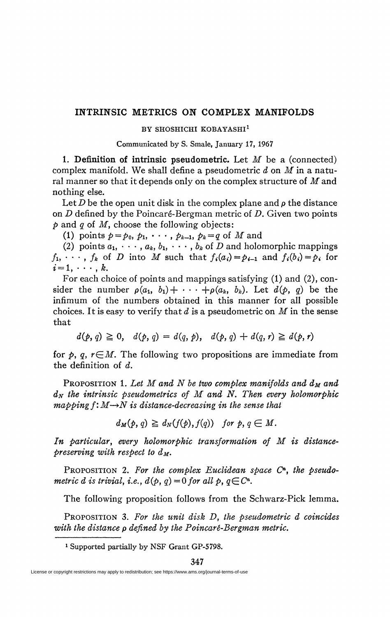## **INTRINSIC METRICS ON COMPLEX MANIFOLDS**

## **BY SHOSHICHI KOBAYASHI<sup>1</sup>**

## Communicated by S. Smale, January 17, 1967

1. Definition of intrinsic pseudometric. Let *M* be a (connected) complex manifold. We shall define a pseudometric *d* on *M* in a natural manner so that it depends only on the complex structure of *M* and nothing else.

Let *D* be the open unit disk in the complex plane and  $\rho$  the distance on *D* defined by the Poincaré-Bergman metric of *D.* Given two points *p* and *q* of *M,* choose the following objects:

(1) points  $p = p_0, p_1, \cdots, p_{k-1}, p_k = q$  of *M* and

(2) points  $a_1, \dots, a_k, b_1, \dots, b_k$  of *D* and holomorphic mappings  $f_1, \cdots, f_k$  of *D* into *M* such that  $f_i(a_i) = p_{i-1}$  and  $f_i(b_i) = p_i$  for  $i = 1, \cdots, k$ .

For each choice of points and mappings satisfying (1) and (2), consider the number  $\rho(a_1, b_1) + \cdots + \rho(a_k, b_k)$ . Let  $d(p, q)$  be the infimum of the numbers obtained in this manner for all possible choices. It is easy to verify that *d* is a pseudometric on *M* in the sense that

 $d(p, q) \geq 0, \quad d(p, q) = d(q, p), \quad d(p, q) + d(q, r) \geq d(p, r)$ 

for  $p$ ,  $q$ ,  $r \in M$ . The following two propositions are immediate from the definition of *d.* 

PROPOSITION 1. Let M and N be two complex manifolds and  $d_M$  and  $d_N$  the intrinsic pseudometrics of  $M$  and  $N$ . Then every holomorphic  $mapping f: M \rightarrow N$  is distance-decreasing in the sense that

 $d_M(p, q) \geq d_N(f(p), f(q))$  for p,  $q \in M$ .

*In particular, every holomorphic transformation of M is distancepreserving with respect to*  $d_M$ *.* 

PROPOSITION 2. For the complex Euclidean space C<sup>n</sup>, the pseudo*metric d is trivial, i.e.,*  $d(p, q) = 0$  for all  $p, q \in \mathbb{C}^n$ .

The following proposition follows from the Schwarz-Pick lemma.

PROPOSITION 3. *For the unit disk D, the pseudometric d coincides with the distance* p *defined by the Poincaré-Bergman metric.* 

1 Supported partially by NSF Grant GP-5798.

License or copyright restrictions may apply to redistribution; see https://www.ams.org/journal-terms-of-use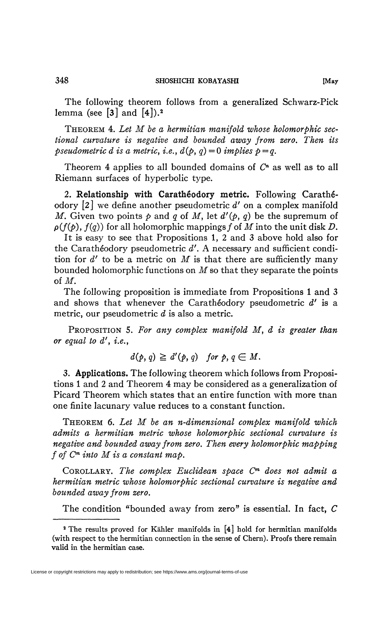The following theorem follows from a generalized Schwarz-Pick lemma (see  $\lceil 3 \rceil$  and  $\lceil 4 \rceil$ ).<sup>2</sup>

THEOREM 4. *Let M be a hermitian manifold whose holomorphic sectional curvature is negative and bounded away from zero. Then its pseudometric d is a metric, i.e.,*  $d(p, q) = 0$  *implies*  $p = q$ *.* 

Theorem 4 applies to all bounded domains of *C<sup>n</sup>* as well as to all Riemann surfaces of hyperbolic type.

**2. Relationship with Carathêodory metric.** Following Carathéodory [2] we define another pseudometric d' on a complex manifold *M*. Given two points  $p$  and  $q$  of *M*, let  $d'(p, q)$  be the supremum of  $p(f(p), f(q))$  for all holomorphic mappings f of *M* into the unit disk *D*.

It is easy to see that Propositions 1, 2 and 3 above hold also for the Carathêodory pseudometric *d'.* A necessary and sufficient condition for *d'* to be a metric on *M* is that there are sufficiently many bounded holomorphic functions on *M* so that they separate the points of M.

The following proposition is immediate from Propositions 1 and 3 and shows that whenever the Carathêodory pseudometric *d'* is a metric, our pseudometric *d* is also a metric.

PROPOSITION 5. *For any complex manifold M, d is greater than or equal to d', i.e.,* 

$$
d(p, q) \geq d'(p, q) \quad \text{for } p, q \in M.
$$

*3.* **Applications.** The following theorem which follows from Propositions 1 and 2 and Theorem 4 may be considered as a generalization of Picard Theorem which states that an entire function with more tnan one finite lacunary value reduces to a constant function.

THEOREM 6. *Let M be an n-dimensional complex manifold which admits a hermitian metric whose holomorphic sectional curvature is negative and bounded away from zero. Then every holomorphic mapping*  ƒ *of C™ into M is a constant map.* 

COROLLARY. *The complex Euclidean space C\* does not admit a hermitian metric whose holomorphic sectional curvature is negative and bounded away from zero.* 

The condition "bounded away from zero" is essential. In fact, *C* 

License or copyright restrictions may apply to redistribution; see https://www.ams.org/journal-terms-of-use

<sup>&</sup>lt;sup>2</sup> The results proved for Kähler manifolds in [4] hold for hermitian manifolds (with respect to the hermitian connection in the sense of Chern). Proofs there remain valid in the hermitian case.